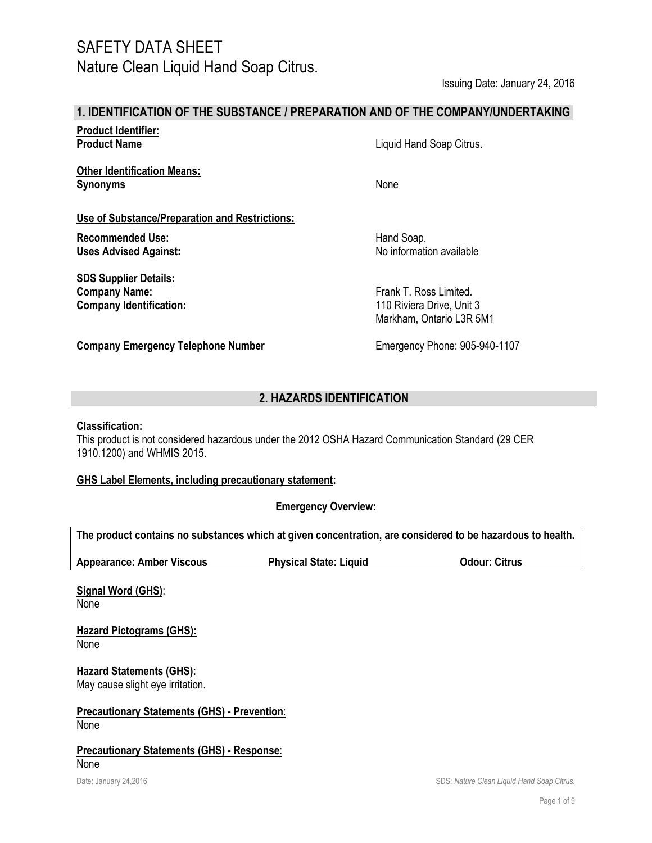Issuing Date: January 24, 2016

### **1. IDENTIFICATION OF THE SUBSTANCE / PREPARATION AND OF THE COMPANY/UNDERTAKING**

**Product Identifier:**

**Other Identification Means: Synonyms** None

**Use of Substance/Preparation and Restrictions:** 

**Uses Advised Against:** 

**SDS Supplier Details: Company Name:** Frank T. Ross Limited. **Company Identification:** 110 Riviera Drive, Unit 3

**Company Emergency Telephone Number** Emergency Phone: 905-940-1107

**Product Name Liquid Hand Soap Citrus.** 

**Recommended Use:** Hand Soap.

Markham, Ontario L3R 5M1

## **2. HAZARDS IDENTIFICATION**

### **Classification:**

This product is not considered hazardous under the 2012 OSHA Hazard Communication Standard (29 CER 1910.1200) and WHMIS 2015.

### **GHS Label Elements, including precautionary statement:**

**Emergency Overview:**

**The product contains no substances which at given concentration, are considered to be hazardous to health.**

**Appearance: Amber Viscous Physical State: Liquid Odour: Citrus**

**Signal Word (GHS)**: None

**Hazard Pictograms (GHS):** None

**Hazard Statements (GHS):** May cause slight eye irritation.

**Precautionary Statements (GHS) - Prevention**: None

#### **Precautionary Statements (GHS) - Response**: None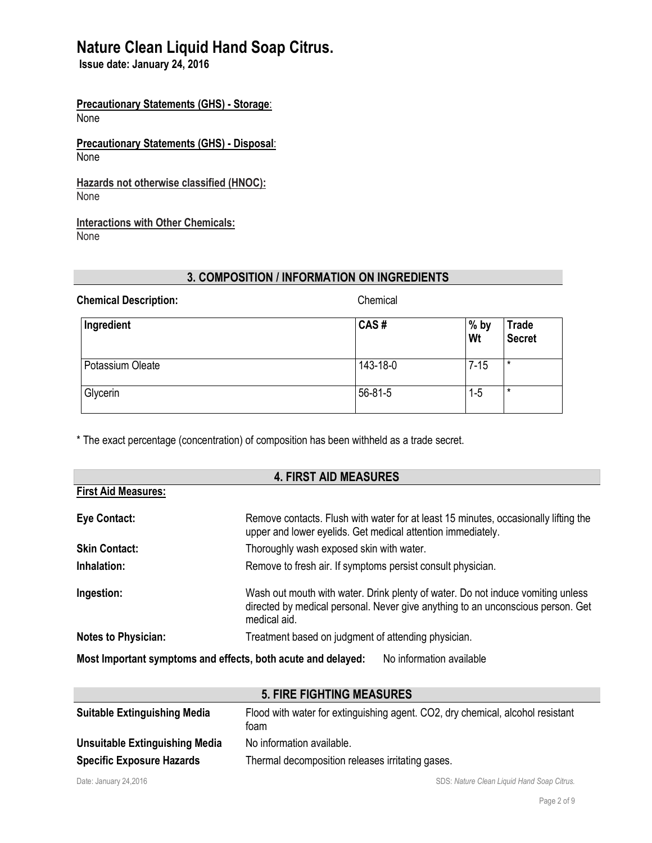**Issue date: January 24, 2016**

**Precautionary Statements (GHS) - Storage**: None

**Precautionary Statements (GHS) - Disposal**: None

**Hazards not otherwise classified (HNOC):** None

**Interactions with Other Chemicals:** None

# **3. COMPOSITION / INFORMATION ON INGREDIENTS**

| <b>Chemical Description:</b> | Chemical |              |                               |
|------------------------------|----------|--------------|-------------------------------|
| Ingredient                   | CAS#     | $%$ by<br>Wt | <b>Trade</b><br><b>Secret</b> |
| Potassium Oleate             | 143-18-0 | $7 - 15$     | $\star$                       |
| Glycerin                     | 56-81-5  | $1 - 5$      | $\star$                       |

\* The exact percentage (concentration) of composition has been withheld as a trade secret.

| <b>4. FIRST AID MEASURES</b>                                                             |                                                                                                                                                                                    |  |
|------------------------------------------------------------------------------------------|------------------------------------------------------------------------------------------------------------------------------------------------------------------------------------|--|
| <b>First Aid Measures:</b>                                                               |                                                                                                                                                                                    |  |
| Eye Contact:                                                                             | Remove contacts. Flush with water for at least 15 minutes, occasionally lifting the<br>upper and lower eyelids. Get medical attention immediately.                                 |  |
| <b>Skin Contact:</b>                                                                     | Thoroughly wash exposed skin with water.                                                                                                                                           |  |
| Inhalation:                                                                              | Remove to fresh air. If symptoms persist consult physician.                                                                                                                        |  |
| Ingestion:                                                                               | Wash out mouth with water. Drink plenty of water. Do not induce vomiting unless<br>directed by medical personal. Never give anything to an unconscious person. Get<br>medical aid. |  |
| <b>Notes to Physician:</b>                                                               | Treatment based on judgment of attending physician.                                                                                                                                |  |
| Most Important symptoms and effects, both acute and delayed:<br>No information available |                                                                                                                                                                                    |  |

|                                     | <b>5. FIRE FIGHTING MEASURES</b>                                                       |
|-------------------------------------|----------------------------------------------------------------------------------------|
| <b>Suitable Extinguishing Media</b> | Flood with water for extinguishing agent. CO2, dry chemical, alcohol resistant<br>foam |
| Unsuitable Extinguishing Media      | No information available.                                                              |
| <b>Specific Exposure Hazards</b>    | Thermal decomposition releases irritating gases.                                       |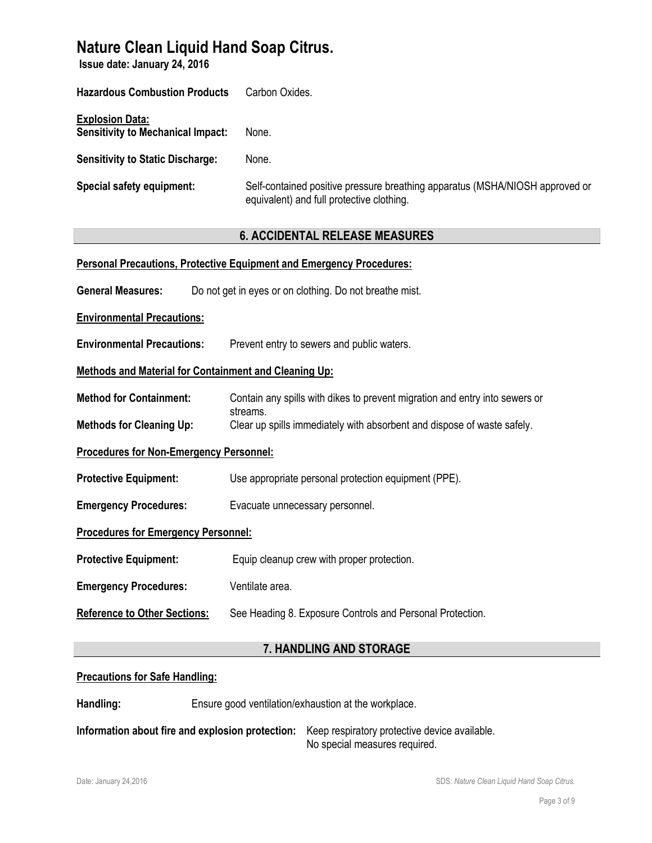**Issue date: January 24, 2016**

| <b>Hazardous Combustion Products</b>                               | Carbon Oxides.                                                                                                            |
|--------------------------------------------------------------------|---------------------------------------------------------------------------------------------------------------------------|
| <b>Explosion Data:</b><br><b>Sensitivity to Mechanical Impact:</b> | None.                                                                                                                     |
| <b>Sensitivity to Static Discharge:</b>                            | None.                                                                                                                     |
| Special safety equipment:                                          | Self-contained positive pressure breathing apparatus (MSHA/NIOSH approved or<br>equivalent) and full protective clothing. |

## **6. ACCIDENTAL RELEASE MEASURES**

|                                                       | <b>Personal Precautions, Protective Equipment and Emergency Procedures:</b>         |  |
|-------------------------------------------------------|-------------------------------------------------------------------------------------|--|
| <b>General Measures:</b>                              | Do not get in eyes or on clothing. Do not breathe mist.                             |  |
| <b>Environmental Precautions:</b>                     |                                                                                     |  |
| <b>Environmental Precautions:</b>                     | Prevent entry to sewers and public waters.                                          |  |
| Methods and Material for Containment and Cleaning Up: |                                                                                     |  |
| <b>Method for Containment:</b>                        | Contain any spills with dikes to prevent migration and entry into sewers or         |  |
| <b>Methods for Cleaning Up:</b>                       | streams.<br>Clear up spills immediately with absorbent and dispose of waste safely. |  |
| <b>Procedures for Non-Emergency Personnel:</b>        |                                                                                     |  |
| <b>Protective Equipment:</b>                          | Use appropriate personal protection equipment (PPE).                                |  |
| <b>Emergency Procedures:</b>                          | Evacuate unnecessary personnel.                                                     |  |
| <b>Procedures for Emergency Personnel:</b>            |                                                                                     |  |
| <b>Protective Equipment:</b>                          | Equip cleanup crew with proper protection.                                          |  |
| <b>Emergency Procedures:</b>                          | Ventilate area.                                                                     |  |
| <b>Reference to Other Sections:</b>                   | See Heading 8. Exposure Controls and Personal Protection.                           |  |
|                                                       |                                                                                     |  |

## **7. HANDLING AND STORAGE**

## **Precautions for Safe Handling:**

**Handling:** Ensure good ventilation/exhaustion at the workplace.

**Information about fire and explosion protection:** Keep respiratory protective device available. No special measures required.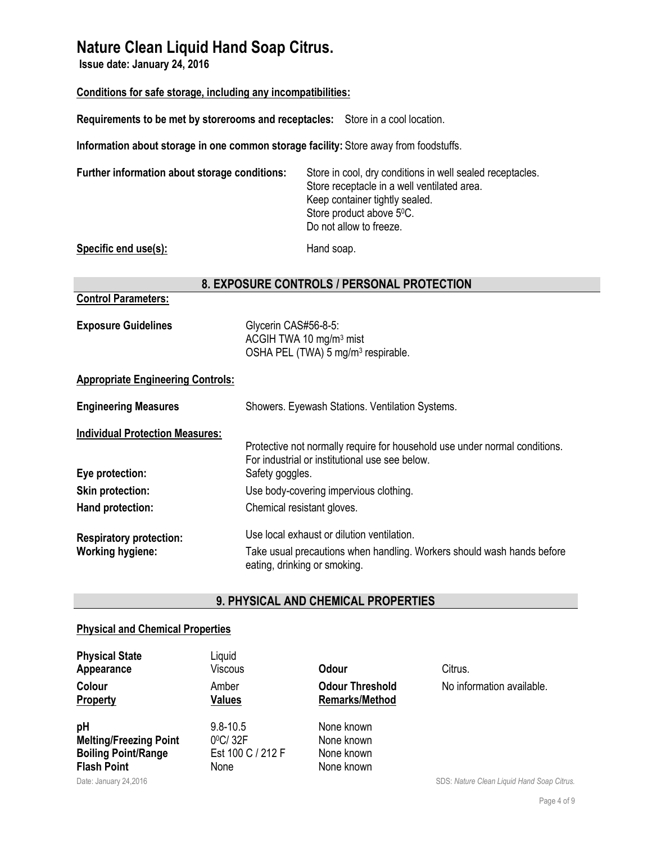**Issue date: January 24, 2016**

## **Conditions for safe storage, including any incompatibilities:**

**Requirements to be met by storerooms and receptacles:** Store in a cool location.

**Information about storage in one common storage facility:** Store away from foodstuffs.

| Further information about storage conditions: | Store in cool, dry conditions in well sealed receptacles.<br>Store receptacle in a well ventilated area.<br>Keep container tightly sealed.<br>Store product above 5°C.<br>Do not allow to freeze. |
|-----------------------------------------------|---------------------------------------------------------------------------------------------------------------------------------------------------------------------------------------------------|
| Specific end use(s):                          | Hand soap.                                                                                                                                                                                        |

### **8. EXPOSURE CONTROLS / PERSONAL PROTECTION**

## **Control Parameters:**

| <b>Exposure Guidelines</b> | Glycerin CAS#56-8-5:                           |
|----------------------------|------------------------------------------------|
|                            | ACGIH TWA 10 $mg/m3$ mist                      |
|                            | OSHA PEL (TWA) 5 mg/m <sup>3</sup> respirable. |

## **Appropriate Engineering Controls:**

| <b>Engineering Measures</b>            | Showers. Eyewash Stations. Ventilation Systems.                                                                              |  |  |
|----------------------------------------|------------------------------------------------------------------------------------------------------------------------------|--|--|
| <b>Individual Protection Measures:</b> |                                                                                                                              |  |  |
|                                        | Protective not normally require for household use under normal conditions.<br>For industrial or institutional use see below. |  |  |
| Eye protection:                        | Safety goggles.                                                                                                              |  |  |
| <b>Skin protection:</b>                | Use body-covering impervious clothing.                                                                                       |  |  |
| Hand protection:                       | Chemical resistant gloves.                                                                                                   |  |  |
| <b>Respiratory protection:</b>         | Use local exhaust or dilution ventilation.                                                                                   |  |  |
| <b>Working hygiene:</b>                | Take usual precautions when handling. Workers should wash hands before<br>eating, drinking or smoking.                       |  |  |

## **9. PHYSICAL AND CHEMICAL PROPERTIES**

## **Physical and Chemical Properties**

| <b>Physical State</b><br>Appearance<br>Colour<br><b>Property</b>                        | Liquid<br>Viscous<br>Amber<br><b>Values</b>                    | Odour<br><b>Odour Threshold</b><br><b>Remarks/Method</b> | Citrus.<br>No information available.       |
|-----------------------------------------------------------------------------------------|----------------------------------------------------------------|----------------------------------------------------------|--------------------------------------------|
| pH<br><b>Melting/Freezing Point</b><br><b>Boiling Point/Range</b><br><b>Flash Point</b> | $9.8 - 10.5$<br>$0^{\circ}$ C/32F<br>Est 100 C / 212 F<br>None | None known<br>None known<br>None known<br>None known     |                                            |
| Date: January 24,2016                                                                   |                                                                |                                                          | SDS: Nature Clean Liquid Hand Soap Citrus. |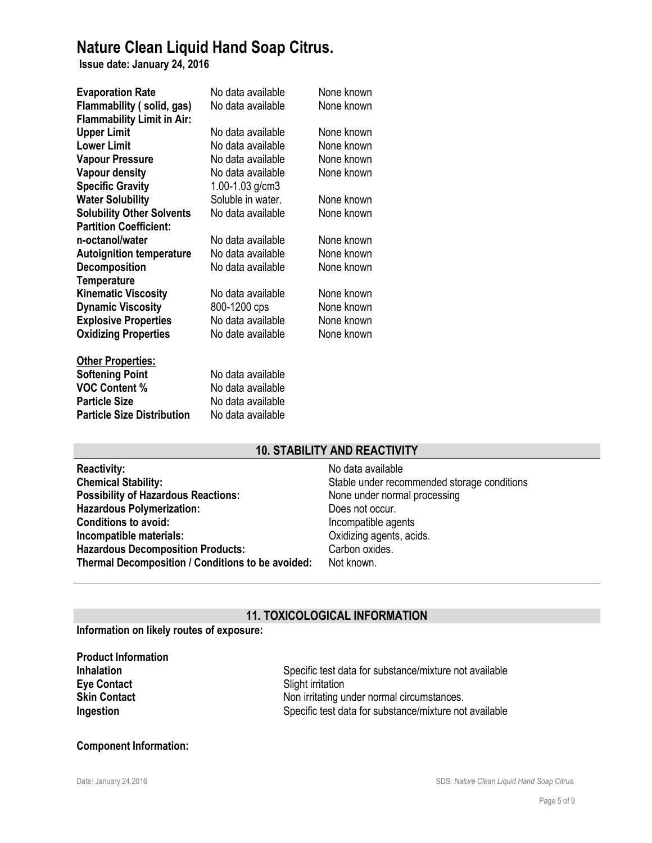**Issue date: January 24, 2016**

| <b>Evaporation Rate</b>           | No data available | None known |
|-----------------------------------|-------------------|------------|
| Flammability (solid, gas)         | No data available | None known |
| <b>Flammability Limit in Air:</b> |                   |            |
| <b>Upper Limit</b>                | No data available | None known |
| <b>Lower Limit</b>                | No data available | None known |
| <b>Vapour Pressure</b>            | No data available | None known |
| <b>Vapour density</b>             | No data available | None known |
| <b>Specific Gravity</b>           | 1.00-1.03 $g/cm3$ |            |
| <b>Water Solubility</b>           | Soluble in water. | None known |
| <b>Solubility Other Solvents</b>  | No data available | None known |
| <b>Partition Coefficient:</b>     |                   |            |
| n-octanol/water                   | No data available | None known |
| <b>Autoignition temperature</b>   | No data available | None known |
| <b>Decomposition</b>              | No data available | None known |
| <b>Temperature</b>                |                   |            |
| <b>Kinematic Viscosity</b>        | No data available | None known |
| <b>Dynamic Viscosity</b>          | 800-1200 cps      | None known |
| <b>Explosive Properties</b>       | No data available | None known |
| <b>Oxidizing Properties</b>       | No date available | None known |
| <b>Other Properties:</b>          |                   |            |
| <b>Softening Point</b>            | No data available |            |
| <b>VOC Content %</b>              | No data available |            |
| <b>Particle Size</b>              | No data available |            |
| <b>Particle Size Distribution</b> | No data available |            |

## **10. STABILITY AND REACTIVITY**

| <b>Reactivity:</b>                                | No data available                           |
|---------------------------------------------------|---------------------------------------------|
| <b>Chemical Stability:</b>                        | Stable under recommended storage conditions |
| <b>Possibility of Hazardous Reactions:</b>        | None under normal processing                |
| <b>Hazardous Polymerization:</b>                  | Does not occur.                             |
| <b>Conditions to avoid:</b>                       | Incompatible agents                         |
| Incompatible materials:                           | Oxidizing agents, acids.                    |
| <b>Hazardous Decomposition Products:</b>          | Carbon oxides.                              |
| Thermal Decomposition / Conditions to be avoided: | Not known.                                  |

## **11. TOXICOLOGICAL INFORMATION**

**Information on likely routes of exposure:**

| <b>Product Information</b> |
|----------------------------|
| Inhalation                 |
| <b>Eye Contact</b>         |
| <b>Skin Contact</b>        |
| Ingestion                  |

Specific test data for substance/mixture not available **Slight irritation** Non irritating under normal circumstances. Specific test data for substance/mixture not available

#### **Component Information:**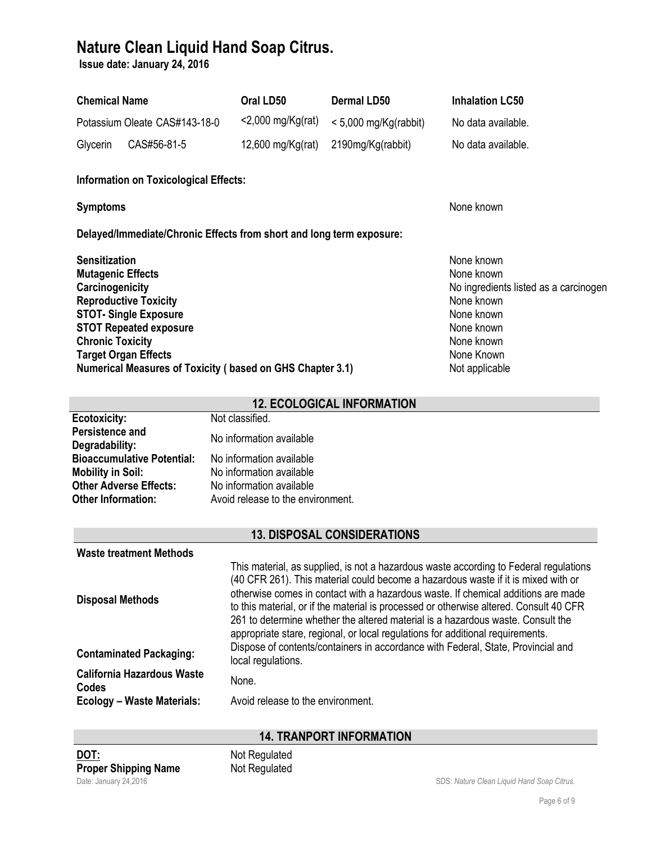**Issue date: January 24, 2016**

| <b>Chemical Name</b>                                                                                                                                                                                                                                                                                                                                                                                                                                                                                                                                                                                                                                                     | Oral LD50                                                                                                                                                            | <b>Dermal LD50</b>                 | <b>Inhalation LC50</b>                                                                                                                                    |  |
|--------------------------------------------------------------------------------------------------------------------------------------------------------------------------------------------------------------------------------------------------------------------------------------------------------------------------------------------------------------------------------------------------------------------------------------------------------------------------------------------------------------------------------------------------------------------------------------------------------------------------------------------------------------------------|----------------------------------------------------------------------------------------------------------------------------------------------------------------------|------------------------------------|-----------------------------------------------------------------------------------------------------------------------------------------------------------|--|
| Potassium Oleate CAS#143-18-0                                                                                                                                                                                                                                                                                                                                                                                                                                                                                                                                                                                                                                            | <2,000 mg/Kg(rat)                                                                                                                                                    | $< 5,000$ mg/Kg(rabbit)            | No data available.                                                                                                                                        |  |
| CAS#56-81-5<br>Glycerin                                                                                                                                                                                                                                                                                                                                                                                                                                                                                                                                                                                                                                                  | $12,600$ mg/Kg(rat)                                                                                                                                                  | 2190mg/Kg(rabbit)                  | No data available.                                                                                                                                        |  |
| <b>Information on Toxicological Effects:</b>                                                                                                                                                                                                                                                                                                                                                                                                                                                                                                                                                                                                                             |                                                                                                                                                                      |                                    |                                                                                                                                                           |  |
| <b>Symptoms</b>                                                                                                                                                                                                                                                                                                                                                                                                                                                                                                                                                                                                                                                          |                                                                                                                                                                      |                                    | None known                                                                                                                                                |  |
| Delayed/Immediate/Chronic Effects from short and long term exposure:                                                                                                                                                                                                                                                                                                                                                                                                                                                                                                                                                                                                     |                                                                                                                                                                      |                                    |                                                                                                                                                           |  |
| <b>Sensitization</b><br><b>Mutagenic Effects</b><br>Carcinogenicity<br><b>Reproductive Toxicity</b><br><b>STOT- Single Exposure</b><br><b>STOT Repeated exposure</b><br><b>Chronic Toxicity</b><br><b>Target Organ Effects</b><br><b>Numerical Measures of Toxicity (based on GHS Chapter 3.1)</b>                                                                                                                                                                                                                                                                                                                                                                       |                                                                                                                                                                      |                                    | None known<br>None known<br>No ingredients listed as a carcinogen<br>None known<br>None known<br>None known<br>None known<br>None Known<br>Not applicable |  |
|                                                                                                                                                                                                                                                                                                                                                                                                                                                                                                                                                                                                                                                                          |                                                                                                                                                                      | <b>12. ECOLOGICAL INFORMATION</b>  |                                                                                                                                                           |  |
| Ecotoxicity:<br>Persistence and<br>Degradability:<br><b>Bioaccumulative Potential:</b><br><b>Mobility in Soil:</b><br><b>Other Adverse Effects:</b><br><b>Other Information:</b>                                                                                                                                                                                                                                                                                                                                                                                                                                                                                         | Not classified.<br>No information available<br>No information available<br>No information available<br>No information available<br>Avoid release to the environment. |                                    |                                                                                                                                                           |  |
|                                                                                                                                                                                                                                                                                                                                                                                                                                                                                                                                                                                                                                                                          |                                                                                                                                                                      | <b>13. DISPOSAL CONSIDERATIONS</b> |                                                                                                                                                           |  |
| Waste treatment Methods<br>This material, as supplied, is not a hazardous waste according to Federal regulations<br>(40 CFR 261). This material could become a hazardous waste if it is mixed with or<br>otherwise comes in contact with a hazardous waste. If chemical additions are made<br><b>Disposal Methods</b><br>to this material, or if the material is processed or otherwise altered. Consult 40 CFR<br>261 to determine whether the altered material is a hazardous waste. Consult the<br>appropriate stare, regional, or local regulations for additional requirements.<br>Dispose of contents/containers in accordance with Federal, State, Provincial and |                                                                                                                                                                      |                                    |                                                                                                                                                           |  |
| <b>Contaminated Packaging:</b>                                                                                                                                                                                                                                                                                                                                                                                                                                                                                                                                                                                                                                           | local regulations.                                                                                                                                                   |                                    |                                                                                                                                                           |  |
| <b>California Hazardous Waste</b><br>Codes                                                                                                                                                                                                                                                                                                                                                                                                                                                                                                                                                                                                                               | None.                                                                                                                                                                |                                    |                                                                                                                                                           |  |
| <b>Ecology - Waste Materials:</b>                                                                                                                                                                                                                                                                                                                                                                                                                                                                                                                                                                                                                                        | Avoid release to the environment.                                                                                                                                    |                                    |                                                                                                                                                           |  |
|                                                                                                                                                                                                                                                                                                                                                                                                                                                                                                                                                                                                                                                                          |                                                                                                                                                                      | <b>14. TRANPORT INFORMATION</b>    |                                                                                                                                                           |  |

**DOT:** Not Regulated **Proper Shipping Name** Not Regulated

Date: January 24,2016 SDS: *Nature Clean Liquid Hand Soap Citrus.*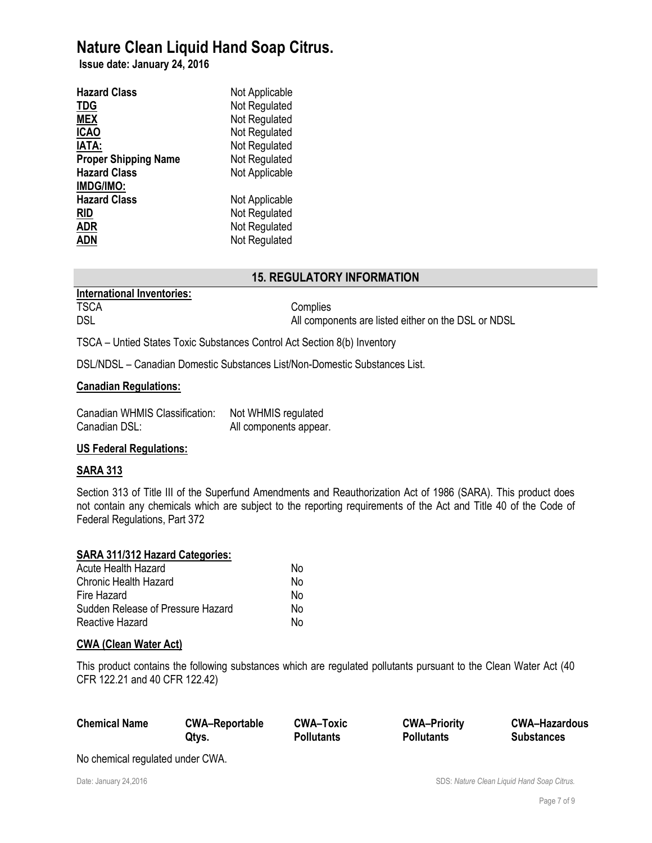**Issue date: January 24, 2016**

| <b>Hazard Class</b>         | Not Applicable |
|-----------------------------|----------------|
| <b>TDG</b>                  | Not Regulated  |
| <b>MEX</b>                  | Not Regulated  |
| <b>ICAO</b>                 | Not Regulated  |
| <b>IATA:</b>                | Not Regulated  |
| <b>Proper Shipping Name</b> | Not Regulated  |
| <b>Hazard Class</b>         | Not Applicable |
| <b>IMDG/IMO:</b>            |                |
| <b>Hazard Class</b>         | Not Applicable |
| <b>RID</b>                  | Not Regulated  |
| <b>ADR</b>                  | Not Regulated  |
| <b>ADN</b>                  | Not Regulated  |

## **15. REGULATORY INFORMATION**

| <b>International Inventories:</b> |  |
|-----------------------------------|--|
| <b>TSCA</b>                       |  |
| DSL                               |  |

Complies All components are listed either on the DSL or NDSL

TSCA – Untied States Toxic Substances Control Act Section 8(b) Inventory

DSL/NDSL – Canadian Domestic Substances List/Non-Domestic Substances List.

### **Canadian Regulations:**

| Canadian WHMIS Classification: | Not WHMIS regulated    |
|--------------------------------|------------------------|
| Canadian DSL:                  | All components appear. |

### **US Federal Regulations:**

### **SARA 313**

Section 313 of Title III of the Superfund Amendments and Reauthorization Act of 1986 (SARA). This product does not contain any chemicals which are subject to the reporting requirements of the Act and Title 40 of the Code of Federal Regulations, Part 372

### **SARA 311/312 Hazard Categories:**

| Acute Health Hazard               | No |
|-----------------------------------|----|
| Chronic Health Hazard             | No |
| Fire Hazard                       | N٥ |
| Sudden Release of Pressure Hazard | N٥ |
| Reactive Hazard                   | N٥ |

### **CWA (Clean Water Act)**

This product contains the following substances which are regulated pollutants pursuant to the Clean Water Act (40 CFR 122.21 and 40 CFR 122.42)

| <b>Chemical Name</b> | <b>CWA-Reportable</b> | <b>CWA-Toxic</b>  | <b>CWA-Priority</b> | <b>CWA-Hazardous</b> |
|----------------------|-----------------------|-------------------|---------------------|----------------------|
|                      | Qtys.                 | <b>Pollutants</b> | <b>Pollutants</b>   | <b>Substances</b>    |

No chemical regulated under CWA.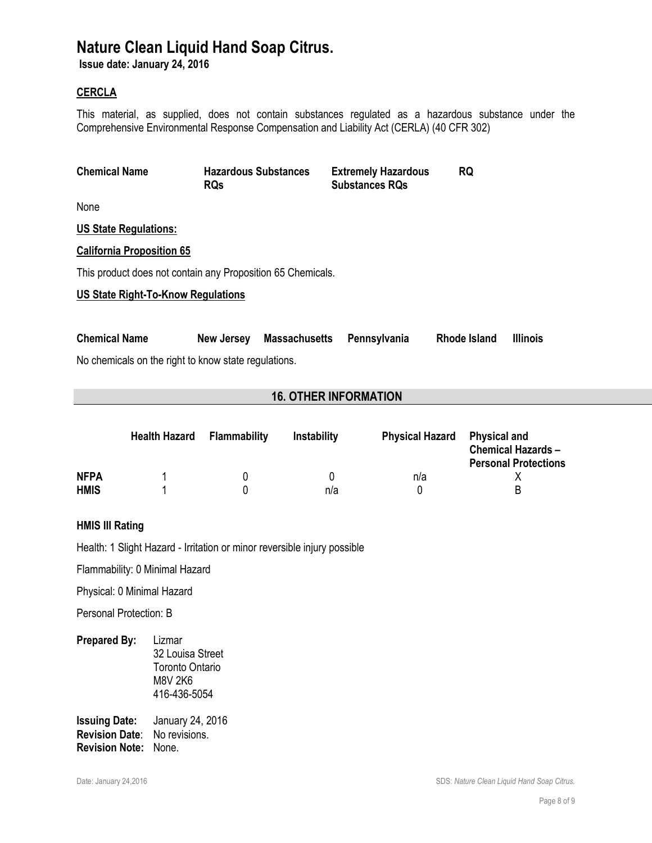**Issue date: January 24, 2016**

### **CERCLA**

This material, as supplied, does not contain substances regulated as a hazardous substance under the Comprehensive Environmental Response Compensation and Liability Act (CERLA) (40 CFR 302)

| <b>Chemical Name</b>                                        | <b>Hazardous Substances</b><br><b>RQs</b> |                      | <b>Extremely Hazardous</b><br><b>Substances RQs</b> | <b>RQ</b>    |                 |
|-------------------------------------------------------------|-------------------------------------------|----------------------|-----------------------------------------------------|--------------|-----------------|
| None                                                        |                                           |                      |                                                     |              |                 |
| <b>US State Regulations:</b>                                |                                           |                      |                                                     |              |                 |
| <b>California Proposition 65</b>                            |                                           |                      |                                                     |              |                 |
| This product does not contain any Proposition 65 Chemicals. |                                           |                      |                                                     |              |                 |
| <b>US State Right-To-Know Regulations</b>                   |                                           |                      |                                                     |              |                 |
| <b>Chemical Name</b>                                        | New Jersey                                | <b>Massachusetts</b> | Pennsylvania                                        | Rhode Island | <b>Illinois</b> |
| No chemicals on the right to know state regulations.        |                                           |                      |                                                     |              |                 |

## **16. OTHER INFORMATION**

|             | <b>Health Hazard</b> | Flammability | <b>Instability</b> | <b>Physical Hazard</b> | Physical and<br><b>Chemical Hazards -</b><br><b>Personal Protections</b> |
|-------------|----------------------|--------------|--------------------|------------------------|--------------------------------------------------------------------------|
| <b>NFPA</b> |                      |              |                    | n/a                    |                                                                          |
| <b>HMIS</b> |                      |              | n/a                |                        | R                                                                        |

#### **HMIS III Rating**

Health: 1 Slight Hazard - Irritation or minor reversible injury possible

Flammability: 0 Minimal Hazard

Physical: 0 Minimal Hazard

Personal Protection: B

**Prepared By:** Lizmar

32 Louisa Street Toronto Ontario M8V 2K6 416-436-5054

**Issuing Date:** January 24, 2016 **Revision Date**: No revisions. **Revision Note:** None.